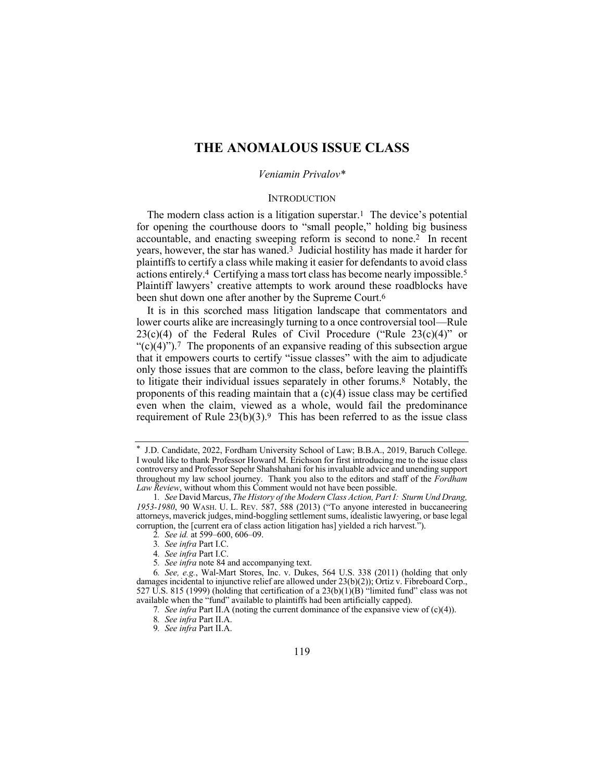# **THE ANOMALOUS ISSUE CLASS**

## *Veniamin Privalov\**

#### **INTRODUCTION**

The modern class action is a litigation superstar.<sup>1</sup> The device's potential for opening the courthouse doors to "small people," holding big business accountable, and enacting sweeping reform is second to none.<sup>2</sup> In recent years, however, the star has waned.<sup>3</sup> Judicial hostility has made it harder for plaintiffs to certify a class while making it easier for defendants to avoid class actions entirely.4 Certifying a mass tort class has become nearly impossible.5 Plaintiff lawyers' creative attempts to work around these roadblocks have been shut down one after another by the Supreme Court.<sup>6</sup>

It is in this scorched mass litigation landscape that commentators and lower courts alike are increasingly turning to a once controversial tool—Rule  $23(c)(4)$  of the Federal Rules of Civil Procedure ("Rule  $23(c)(4)$ " or " $(c)(4)$ ").<sup>7</sup> The proponents of an expansive reading of this subsection argue that it empowers courts to certify "issue classes" with the aim to adjudicate only those issues that are common to the class, before leaving the plaintiffs to litigate their individual issues separately in other forums.8 Notably, the proponents of this reading maintain that a  $(c)(4)$  issue class may be certified even when the claim, viewed as a whole, would fail the predominance requirement of Rule  $23(b)(3)$ .<sup>9</sup> This has been referred to as the issue class

- 4*. See infra* Part I.C.
- 5*. See infra* note 84 and accompanying text.

<sup>\*</sup> J.D. Candidate, 2022, Fordham University School of Law; B.B.A., 2019, Baruch College. I would like to thank Professor Howard M. Erichson for first introducing me to the issue class controversy and Professor Sepehr Shahshahani for his invaluable advice and unending support throughout my law school journey. Thank you also to the editors and staff of the *Fordham Law Review*, without whom this Comment would not have been possible.

<sup>1</sup>*. See* David Marcus, *The History of the Modern Class Action, Part I: Sturm Und Drang, 1953-1980*, 90 WASH. U. L. REV. 587, 588 (2013) ("To anyone interested in buccaneering attorneys, maverick judges, mind-boggling settlement sums, idealistic lawyering, or base legal corruption, the [current era of class action litigation has] yielded a rich harvest.").

<sup>2</sup>*. See id.* at 599–600, 606–09.

<sup>3</sup>*. See infra* Part I.C.

<sup>6</sup>*. See, e.g.*, Wal-Mart Stores, Inc. v. Dukes, 564 U.S. 338 (2011) (holding that only damages incidental to injunctive relief are allowed under 23(b)(2)); Ortiz v. Fibreboard Corp., 527 U.S. 815 (1999) (holding that certification of a  $23(b)(1)(B)$  "limited fund" class was not available when the "fund" available to plaintiffs had been artificially capped).

<sup>7</sup>*. See infra* Part II.A (noting the current dominance of the expansive view of (c)(4)).

<sup>8</sup>*. See infra* Part II.A.

<sup>9</sup>*. See infra* Part II.A.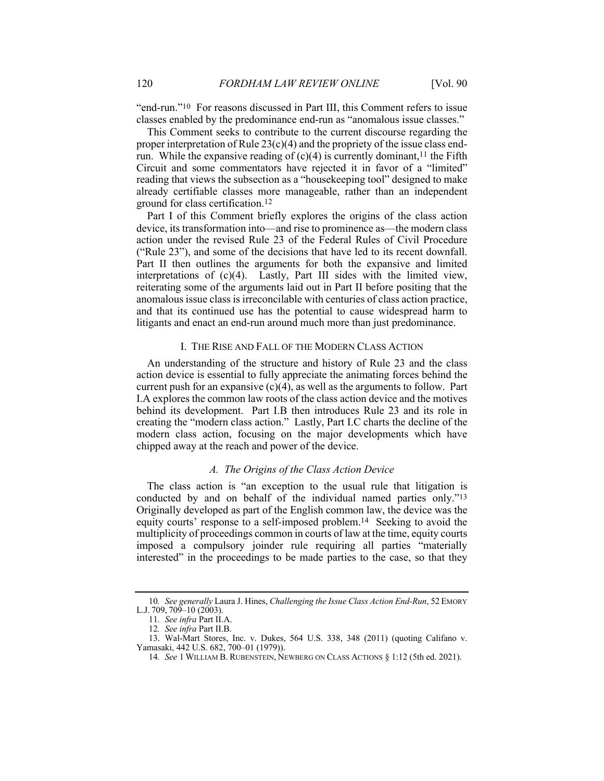"end-run."10 For reasons discussed in Part III, this Comment refers to issue classes enabled by the predominance end-run as "anomalous issue classes."

This Comment seeks to contribute to the current discourse regarding the proper interpretation of Rule  $23(c)(4)$  and the propriety of the issue class endrun. While the expansive reading of  $(c)(4)$  is currently dominant,<sup>11</sup> the Fifth Circuit and some commentators have rejected it in favor of a "limited" reading that views the subsection as a "housekeeping tool" designed to make already certifiable classes more manageable, rather than an independent ground for class certification.12

Part I of this Comment briefly explores the origins of the class action device, its transformation into—and rise to prominence as—the modern class action under the revised Rule 23 of the Federal Rules of Civil Procedure ("Rule 23"), and some of the decisions that have led to its recent downfall. Part II then outlines the arguments for both the expansive and limited interpretations of (c)(4). Lastly, Part III sides with the limited view, reiterating some of the arguments laid out in Part II before positing that the anomalous issue class is irreconcilable with centuries of class action practice, and that its continued use has the potential to cause widespread harm to litigants and enact an end-run around much more than just predominance.

## I. THE RISE AND FALL OF THE MODERN CLASS ACTION

An understanding of the structure and history of Rule 23 and the class action device is essential to fully appreciate the animating forces behind the current push for an expansive  $(c)(4)$ , as well as the arguments to follow. Part I.A explores the common law roots of the class action device and the motives behind its development. Part I.B then introduces Rule 23 and its role in creating the "modern class action." Lastly, Part I.C charts the decline of the modern class action, focusing on the major developments which have chipped away at the reach and power of the device.

# *A. The Origins of the Class Action Device*

The class action is "an exception to the usual rule that litigation is conducted by and on behalf of the individual named parties only."13 Originally developed as part of the English common law, the device was the equity courts' response to a self-imposed problem.14 Seeking to avoid the multiplicity of proceedings common in courts of law at the time, equity courts imposed a compulsory joinder rule requiring all parties "materially interested" in the proceedings to be made parties to the case, so that they

<sup>10</sup>*. See generally* Laura J. Hines, *Challenging the Issue Class Action End-Run*, 52 EMORY L.J. 709, 709–10 (2003).

<sup>11</sup>*. See infra* Part II.A.

<sup>12</sup>*. See infra* Part II.B.

<sup>13.</sup> Wal-Mart Stores, Inc. v. Dukes, 564 U.S. 338, 348 (2011) (quoting Califano v. Yamasaki, 442 U.S. 682, 700–01 (1979)).

<sup>14</sup>*. See* 1 WILLIAM B. RUBENSTEIN, NEWBERG ON CLASS ACTIONS § 1:12 (5th ed. 2021).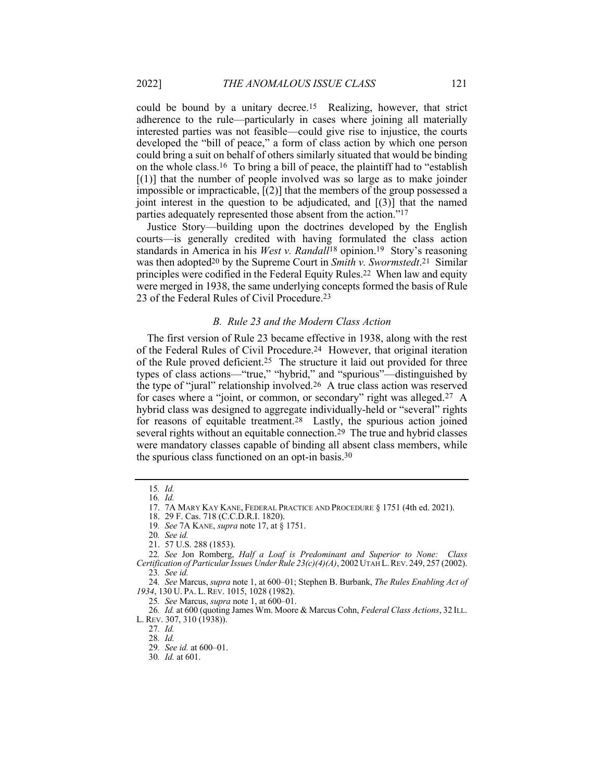could be bound by a unitary decree.15 Realizing, however, that strict adherence to the rule—particularly in cases where joining all materially interested parties was not feasible—could give rise to injustice, the courts developed the "bill of peace," a form of class action by which one person could bring a suit on behalf of others similarly situated that would be binding on the whole class.16 To bring a bill of peace, the plaintiff had to "establish  $[(1)]$  that the number of people involved was so large as to make joinder impossible or impracticable, [(2)] that the members of the group possessed a joint interest in the question to be adjudicated, and  $[(3)]$  that the named parties adequately represented those absent from the action."17

Justice Story—building upon the doctrines developed by the English courts—is generally credited with having formulated the class action standards in America in his *West v. Randall*18 opinion.19 Story's reasoning was then adopted20 by the Supreme Court in *Smith v. Swormstedt*.21 Similar principles were codified in the Federal Equity Rules.22 When law and equity were merged in 1938, the same underlying concepts formed the basis of Rule 23 of the Federal Rules of Civil Procedure.23

## *B. Rule 23 and the Modern Class Action*

The first version of Rule 23 became effective in 1938, along with the rest of the Federal Rules of Civil Procedure.24 However, that original iteration of the Rule proved deficient.25 The structure it laid out provided for three types of class actions—"true," "hybrid," and "spurious"—distinguished by the type of "jural" relationship involved.26 A true class action was reserved for cases where a "joint, or common, or secondary" right was alleged.27 A hybrid class was designed to aggregate individually-held or "several" rights for reasons of equitable treatment.28 Lastly, the spurious action joined several rights without an equitable connection.<sup>29</sup> The true and hybrid classes were mandatory classes capable of binding all absent class members, while the spurious class functioned on an opt-in basis.30

25*. See* Marcus, *supra* note 1, at 600–01.

26*. Id.* at 600 (quoting James Wm. Moore & Marcus Cohn, *Federal Class Actions*, 32 ILL. L. REV. 307, 310 (1938)).

<sup>15</sup>*. Id.* 16*. Id.*

<sup>17.</sup> 7A MARY KAY KANE, FEDERAL PRACTICE AND PROCEDURE § 1751 (4th ed. 2021).

<sup>18.</sup> 29 F. Cas. 718 (C.C.D.R.I. 1820).

<sup>19</sup>*. See* 7A KANE, *supra* note 17, at § 1751.

<sup>20</sup>*. See id.*

<sup>21.</sup> 57 U.S. 288 (1853).

<sup>22</sup>*. See* Jon Romberg, *Half a Loaf is Predominant and Superior to None: Class Certification of Particular Issues Under Rule 23(c)(4)(A)*, 2002UTAH L.REV. 249, 257 (2002). 23*. See id.*

<sup>24</sup>*. See* Marcus, *supra* note 1, at 600–01; Stephen B. Burbank, *The Rules Enabling Act of 1934*, 130 U. PA. L. REV. 1015, 1028 (1982).

<sup>27</sup>*. Id.*

<sup>28</sup>*. Id.*

<sup>29</sup>*. See id.* at 600–01.

<sup>30</sup>*. Id.* at 601.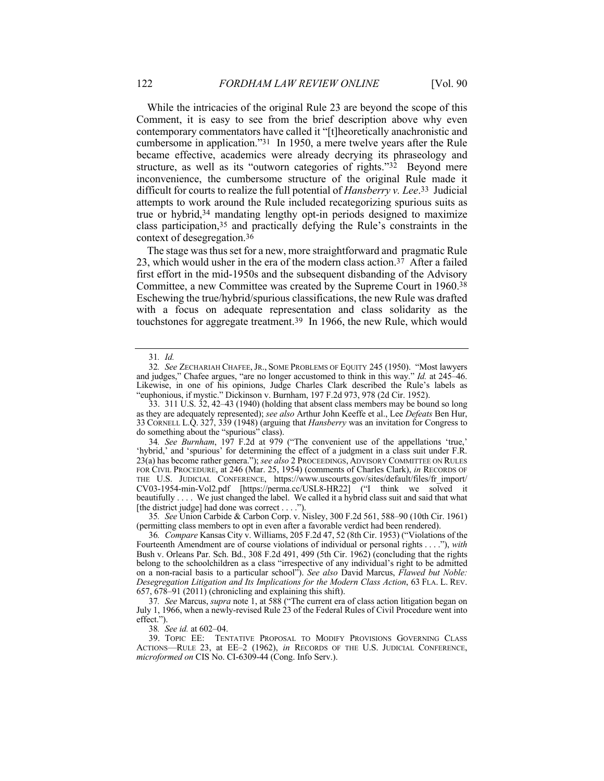While the intricacies of the original Rule 23 are beyond the scope of this Comment, it is easy to see from the brief description above why even contemporary commentators have called it "[t]heoretically anachronistic and cumbersome in application."31 In 1950, a mere twelve years after the Rule became effective, academics were already decrying its phraseology and structure, as well as its "outworn categories of rights."32 Beyond mere inconvenience, the cumbersome structure of the original Rule made it difficult for courts to realize the full potential of *Hansberry v. Lee*.33 Judicial attempts to work around the Rule included recategorizing spurious suits as true or hybrid,34 mandating lengthy opt-in periods designed to maximize class participation,35 and practically defying the Rule's constraints in the context of desegregation.36

The stage was thus set for a new, more straightforward and pragmatic Rule 23, which would usher in the era of the modern class action.<sup>37</sup> After a failed first effort in the mid-1950s and the subsequent disbanding of the Advisory Committee, a new Committee was created by the Supreme Court in 1960.38 Eschewing the true/hybrid/spurious classifications, the new Rule was drafted with a focus on adequate representation and class solidarity as the touchstones for aggregate treatment.39 In 1966, the new Rule, which would

35*. See* Union Carbide & Carbon Corp. v. Nisley, 300 F.2d 561, 588–90 (10th Cir. 1961) (permitting class members to opt in even after a favorable verdict had been rendered).

38*. See id.* at 602–04.

<sup>31</sup>*. Id.*

<sup>32</sup>*. See* ZECHARIAH CHAFEE,JR., SOME PROBLEMS OF EQUITY 245 (1950). "Most lawyers and judges," Chafee argues, "are no longer accustomed to think in this way." *Id.* at 245–46. Likewise, in one of his opinions, Judge Charles Clark described the Rule's labels as "euphonious, if mystic." Dickinson v. Burnham, 197 F.2d 973, 978 (2d Cir. 1952).

 $33.$  311 U.S.  $32, 42-43$  (1940) (holding that absent class members may be bound so long as they are adequately represented); *see also* Arthur John Keeffe et al., Lee *Defeats* Ben Hur, 33 CORNELL L.Q. 327, 339 (1948) (arguing that *Hansberry* was an invitation for Congress to do something about the "spurious" class).

<sup>34</sup>*. See Burnham*, 197 F.2d at 979 ("The convenient use of the appellations 'true,' 'hybrid,' and 'spurious' for determining the effect of a judgment in a class suit under F.R. 23(a) has become rather genera."); *see also* 2 PROCEEDINGS, ADVISORY COMMITTEE ON RULES FOR CIVIL PROCEDURE, at 246 (Mar. 25, 1954) (comments of Charles Clark), *in* RECORDS OF THE U.S. JUDICIAL CONFERENCE, https://www.uscourts.gov/sites/default/files/fr\_import/ CV03-1954-min-Vol2.pdf [https://perma.cc/USL8-HR22] ("I think we solved it beautifully . . . . We just changed the label. We called it a hybrid class suit and said that what [the district judge] had done was correct . . . .").

<sup>36</sup>*. Compare* Kansas City v. Williams, 205 F.2d 47, 52 (8th Cir. 1953) ("Violations of the Fourteenth Amendment are of course violations of individual or personal rights . . . ."), *with* Bush v. Orleans Par. Sch. Bd., 308 F.2d 491, 499 (5th Cir. 1962) (concluding that the rights belong to the schoolchildren as a class "irrespective of any individual's right to be admitted on a non-racial basis to a particular school"). *See also* David Marcus, *Flawed but Noble: Desegregation Litigation and Its Implications for the Modern Class Action*, 63 FLA. L. REV. 657, 678–91 (2011) (chronicling and explaining this shift).

<sup>37</sup>*. See* Marcus, *supra* note 1, at 588 ("The current era of class action litigation began on July 1, 1966, when a newly-revised Rule 23 of the Federal Rules of Civil Procedure went into effect.").

<sup>39.</sup> TOPIC EE: TENTATIVE PROPOSAL TO MODIFY PROVISIONS GOVERNING CLASS ACTIONS—RULE 23, at EE–2 (1962), *in* RECORDS OF THE U.S. JUDICIAL CONFERENCE, *microformed on* CIS No. CI-6309-44 (Cong. Info Serv.).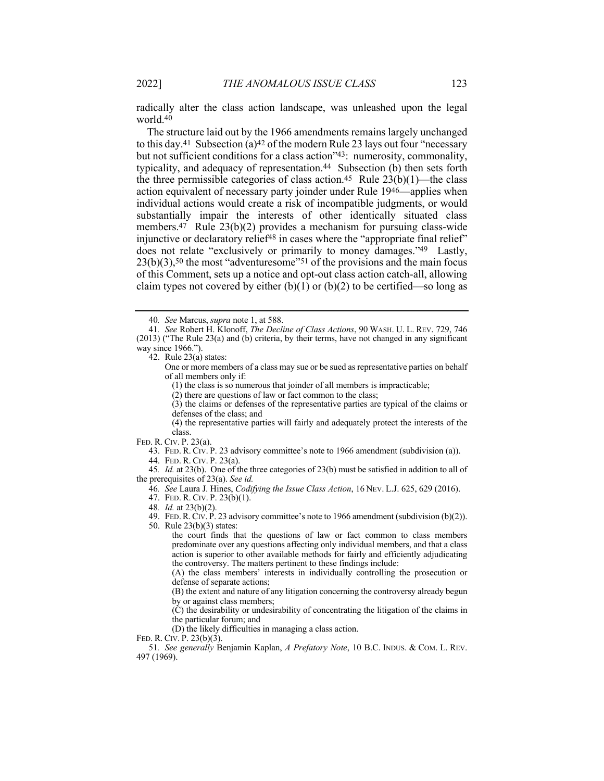radically alter the class action landscape, was unleashed upon the legal world.40

The structure laid out by the 1966 amendments remains largely unchanged to this day.41 Subsection (a)42 of the modern Rule 23 lays out four "necessary but not sufficient conditions for a class action"43: numerosity, commonality, typicality, and adequacy of representation.<sup>44</sup> Subsection (b) then sets forth the three permissible categories of class action.<sup>45</sup> Rule  $23(b)(1)$ —the class action equivalent of necessary party joinder under Rule 1946—applies when individual actions would create a risk of incompatible judgments, or would substantially impair the interests of other identically situated class members.47 Rule 23(b)(2) provides a mechanism for pursuing class-wide injunctive or declaratory relief<sup>48</sup> in cases where the "appropriate final relief" does not relate "exclusively or primarily to money damages."49 Lastly,  $23(b)(3)$ ,<sup>50</sup> the most "adventuresome"<sup>51</sup> of the provisions and the main focus of this Comment, sets up a notice and opt-out class action catch-all, allowing claim types not covered by either  $(b)(1)$  or  $(b)(2)$  to be certified—so long as

42. Rule  $23(a)$  states:

One or more members of a class may sue or be sued as representative parties on behalf of all members only if:

(1) the class is so numerous that joinder of all members is impracticable;

(2) there are questions of law or fact common to the class;

(3) the claims or defenses of the representative parties are typical of the claims or defenses of the class; and

(4) the representative parties will fairly and adequately protect the interests of the class.

FED. R. CIV. P. 23(a).

43. FED. R. CIV. P. 23 advisory committee's note to 1966 amendment (subdivision (a)).

44. FED. R. CIV. P. 23(a).

45*. Id.* at 23(b). One of the three categories of 23(b) must be satisfied in addition to all of the prerequisites of 23(a). *See id.*

46*. See* Laura J. Hines, *Codifying the Issue Class Action*, 16 NEV. L.J. 625, 629 (2016).

47. FED. R. CIV. P. 23(b)(1).

48*. Id.* at 23(b)(2).

49. FED.R.CIV. P. 23 advisory committee's note to 1966 amendment (subdivision (b)(2)).

50. Rule 23(b)(3) states:

the court finds that the questions of law or fact common to class members predominate over any questions affecting only individual members, and that a class action is superior to other available methods for fairly and efficiently adjudicating the controversy. The matters pertinent to these findings include:

(A) the class members' interests in individually controlling the prosecution or defense of separate actions;

(B) the extent and nature of any litigation concerning the controversy already begun by or against class members;

(C) the desirability or undesirability of concentrating the litigation of the claims in the particular forum; and

(D) the likely difficulties in managing a class action.

FED. R. CIV. P. 23(b)(3).

51*. See generally* Benjamin Kaplan, *A Prefatory Note*, 10 B.C. INDUS. & COM. L. REV. 497 (1969).

<sup>40</sup>*. See* Marcus, *supra* note 1, at 588.

<sup>41</sup>*. See* Robert H. Klonoff, *The Decline of Class Actions*, 90 WASH. U. L. REV. 729, 746 (2013) ("The Rule 23(a) and (b) criteria, by their terms, have not changed in any significant way since 1966.").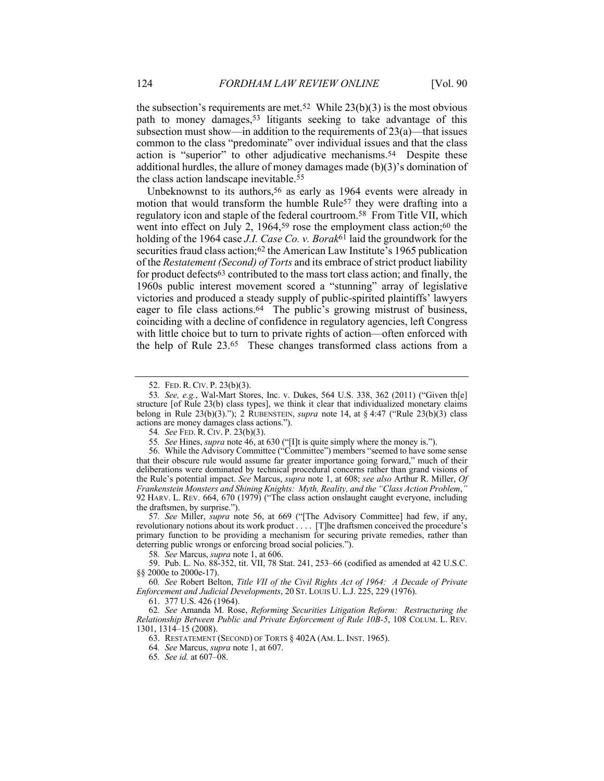the subsection's requirements are met.<sup>52</sup> While  $23(b)(3)$  is the most obvious path to money damages,53 litigants seeking to take advantage of this subsection must show—in addition to the requirements of 23(a)—that issues common to the class "predominate" over individual issues and that the class action is "superior" to other adjudicative mechanisms.<sup>54</sup> Despite these additional hurdles, the allure of money damages made (b)(3)'s domination of the class action landscape inevitable.55

Unbeknownst to its authors,<sup>56</sup> as early as 1964 events were already in motion that would transform the humble Rule<sup>57</sup> they were drafting into a regulatory icon and staple of the federal courtroom.58 From Title VII, which went into effect on July 2, 1964,<sup>59</sup> rose the employment class action;<sup>60</sup> the holding of the 1964 case *J.I. Case Co. v. Borak*61 laid the groundwork for the securities fraud class action;<sup>62</sup> the American Law Institute's 1965 publication of the *Restatement (Second) of Torts* and its embrace of strict product liability for product defects63 contributed to the mass tort class action; and finally, the 1960s public interest movement scored a "stunning" array of legislative victories and produced a steady supply of public-spirited plaintiffs' lawyers eager to file class actions.64 The public's growing mistrust of business, coinciding with a decline of confidence in regulatory agencies, left Congress with little choice but to turn to private rights of action—often enforced with the help of Rule 23.65 These changes transformed class actions from a

57*. See* Miller, *supra* note 56, at 669 ("[The Advisory Committee] had few, if any, revolutionary notions about its work product . . . . [T]he draftsmen conceived the procedure's primary function to be providing a mechanism for securing private remedies, rather than deterring public wrongs or enforcing broad social policies.").

58*. See* Marcus, *supra* note 1, at 606.

59. Pub. L. No. 88-352, tit. VII, 78 Stat. 241, 253–66 (codified as amended at 42 U.S.C. §§ 2000e to 2000e-17).

60*. See* Robert Belton, *Title VII of the Civil Rights Act of 1964: A Decade of Private Enforcement and Judicial Developments*, 20 ST. LOUIS U. L.J. 225, 229 (1976).

61. 377 U.S. 426 (1964).

62*. See* Amanda M. Rose, *Reforming Securities Litigation Reform: Restructuring the Relationship Between Public and Private Enforcement of Rule 10B-5*, 108 COLUM. L. REV. 1301, 1314–15 (2008).

63. RESTATEMENT (SECOND) OF TORTS § 402A (AM. L. INST. 1965).

64*. See* Marcus, *supra* note 1, at 607.

65*. See id.* at 607–08.

<sup>52.</sup> FED. R. CIV. P. 23(b)(3).

<sup>53</sup>*. See, e.g.*, Wal-Mart Stores, Inc. v. Dukes, 564 U.S. 338, 362 (2011) ("Given th[e] structure [of Rule 23(b) class types], we think it clear that individualized monetary claims belong in Rule 23(b)(3)."); 2 RUBENSTEIN, *supra* note 14, at § 4:47 ("Rule 23(b)(3) class actions are money damages class actions.").

<sup>54</sup>*. See* FED. R. CIV. P. 23(b)(3).

<sup>55</sup>*. See* Hines, *supra* note 46, at 630 ("[I]t is quite simply where the money is.").

<sup>56.</sup> While the Advisory Committee ("Committee") members "seemed to have some sense that their obscure rule would assume far greater importance going forward," much of their deliberations were dominated by technical procedural concerns rather than grand visions of the Rule's potential impact. *See* Marcus, *supra* note 1, at 608; *see also* Arthur R. Miller, *Of Frankenstein Monsters and Shining Knights: Myth, Reality, and the "Class Action Problem*,*"* 92 HARV. L. REV. 664, 670 (1979) ("The class action onslaught caught everyone, including the draftsmen, by surprise.").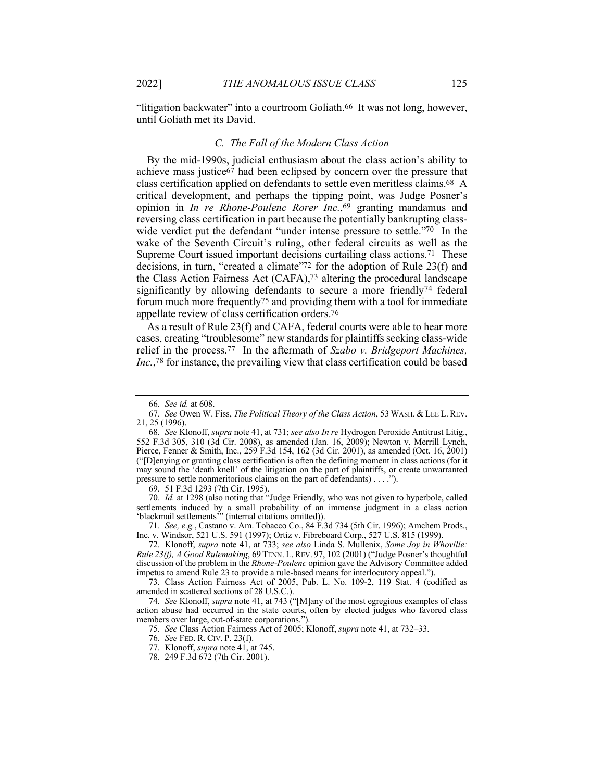"litigation backwater" into a courtroom Goliath.<sup>66</sup> It was not long, however, until Goliath met its David.

#### *C. The Fall of the Modern Class Action*

By the mid-1990s, judicial enthusiasm about the class action's ability to achieve mass justice67 had been eclipsed by concern over the pressure that class certification applied on defendants to settle even meritless claims.68 A critical development, and perhaps the tipping point, was Judge Posner's opinion in *In re Rhone-Poulenc Rorer Inc.*,69 granting mandamus and reversing class certification in part because the potentially bankrupting classwide verdict put the defendant "under intense pressure to settle."70 In the wake of the Seventh Circuit's ruling, other federal circuits as well as the Supreme Court issued important decisions curtailing class actions.<sup>71</sup> These decisions, in turn, "created a climate"72 for the adoption of Rule 23(f) and the Class Action Fairness Act (CAFA),73 altering the procedural landscape significantly by allowing defendants to secure a more friendly<sup>74</sup> federal forum much more frequently75 and providing them with a tool for immediate appellate review of class certification orders.76

As a result of Rule 23(f) and CAFA, federal courts were able to hear more cases, creating "troublesome" new standards for plaintiffs seeking class-wide relief in the process.77 In the aftermath of *Szabo v. Bridgeport Machines, Inc.*,78 for instance, the prevailing view that class certification could be based

69. 51 F.3d 1293 (7th Cir. 1995).

70*. Id.* at 1298 (also noting that "Judge Friendly, who was not given to hyperbole, called settlements induced by a small probability of an immense judgment in a class action 'blackmail settlements'" (internal citations omitted)).

71*. See, e.g.*, Castano v. Am. Tobacco Co., 84 F.3d 734 (5th Cir. 1996); Amchem Prods., Inc. v. Windsor, 521 U.S. 591 (1997); Ortiz v. Fibreboard Corp., 527 U.S. 815 (1999).

72. Klonoff, *supra* note 41, at 733; *see also* Linda S. Mullenix, *Some Joy in Whoville: Rule 23(f), A Good Rulemaking*, 69 TENN. L. REV. 97, 102 (2001) ("Judge Posner's thoughtful discussion of the problem in the *Rhone-Poulenc* opinion gave the Advisory Committee added impetus to amend Rule 23 to provide a rule-based means for interlocutory appeal.").

73. Class Action Fairness Act of 2005, Pub. L. No. 109-2, 119 Stat. 4 (codified as amended in scattered sections of 28 U.S.C.).

74*. See* Klonoff, *supra* note 41, at 743 ("[M]any of the most egregious examples of class action abuse had occurred in the state courts, often by elected judges who favored class members over large, out-of-state corporations.").

75*. See* Class Action Fairness Act of 2005; Klonoff, *supra* note 41, at 732–33.

76*. See* FED. R. CIV. P. 23(f).

77. Klonoff, *supra* note 41, at 745.

78. 249 F.3d 672 (7th Cir. 2001).

<sup>66</sup>*. See id.* at 608.

<sup>67</sup>*. See* Owen W. Fiss, *The Political Theory of the Class Action*, 53 WASH. & LEE L. REV. 21, 25 (1996).

<sup>68</sup>*. See* Klonoff, *supra* note 41, at 731; *see also In re* Hydrogen Peroxide Antitrust Litig., 552 F.3d 305, 310 (3d Cir. 2008), as amended (Jan. 16, 2009); Newton v. Merrill Lynch, Pierce, Fenner & Smith, Inc., 259 F.3d 154, 162 (3d Cir. 2001), as amended (Oct. 16, 2001) ("[D]enying or granting class certification is often the defining moment in class actions (for it may sound the 'death knell' of the litigation on the part of plaintiffs, or create unwarranted pressure to settle nonmeritorious claims on the part of defendants) . . . .").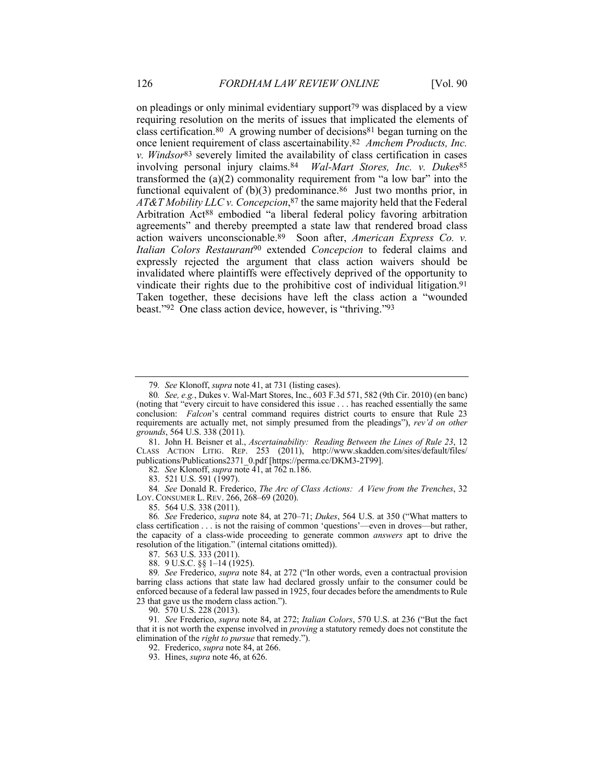on pleadings or only minimal evidentiary support<sup>79</sup> was displaced by a view requiring resolution on the merits of issues that implicated the elements of class certification.<sup>80</sup> A growing number of decisions<sup>81</sup> began turning on the once lenient requirement of class ascertainability.82 *Amchem Products, Inc. v. Windsor*83 severely limited the availability of class certification in cases involving personal injury claims.84 *Wal-Mart Stores, Inc. v. Dukes*85 transformed the  $(a)(2)$  commonality requirement from "a low bar" into the functional equivalent of  $(b)(3)$  predominance.<sup>86</sup> Just two months prior, in *AT&T Mobility LLC v. Concepcion*,87 the same majority held that the Federal Arbitration Act<sup>88</sup> embodied "a liberal federal policy favoring arbitration agreements" and thereby preempted a state law that rendered broad class action waivers unconscionable.89 Soon after, *American Express Co. v. Italian Colors Restaurant*90 extended *Concepcion* to federal claims and expressly rejected the argument that class action waivers should be invalidated where plaintiffs were effectively deprived of the opportunity to vindicate their rights due to the prohibitive cost of individual litigation.<sup>91</sup> Taken together, these decisions have left the class action a "wounded beast."92 One class action device, however, is "thriving."93

81. John H. Beisner et al., *Ascertainability: Reading Between the Lines of Rule 23*, 12 CLASS ACTION LITIG. REP. 253 (2011), http://www.skadden.com/sites/default/files/ publications/Publications2371\_0.pdf [https://perma.cc/DKM3-2T99].

82*. See* Klonoff, *supra* note 41, at 762 n.186.

83. 521 U.S. 591 (1997).

84*. See* Donald R. Frederico, *The Arc of Class Actions: A View from the Trenches*, 32 LOY. CONSUMER L. REV. 266, 268–69 (2020).

85. 564 U.S. 338 (2011).

86*. See* Frederico, *supra* note 84, at 270–71; *Dukes*, 564 U.S. at 350 ("What matters to class certification . . . is not the raising of common 'questions'—even in droves—but rather, the capacity of a class-wide proceeding to generate common *answers* apt to drive the resolution of the litigation." (internal citations omitted)).

87. 563 U.S. 333 (2011).

88. 9 U.S.C. §§ 1–14 (1925).

89*. See* Frederico, *supra* note 84, at 272 ("In other words, even a contractual provision barring class actions that state law had declared grossly unfair to the consumer could be enforced because of a federal law passed in 1925, four decades before the amendments to Rule 23 that gave us the modern class action.").

90. 570 U.S. 228 (2013).

91*. See* Frederico, *supra* note 84, at 272; *Italian Colors*, 570 U.S. at 236 ("But the fact that it is not worth the expense involved in *proving* a statutory remedy does not constitute the elimination of the *right to pursue* that remedy.").

92. Frederico, *supra* note 84, at 266.

93. Hines, *supra* note 46, at 626.

<sup>79</sup>*. See* Klonoff, *supra* note 41, at 731 (listing cases).

<sup>80</sup>*. See, e.g.*, Dukes v. Wal-Mart Stores, Inc., 603 F.3d 571, 582 (9th Cir. 2010) (en banc) (noting that "every circuit to have considered this issue . . . has reached essentially the same conclusion: *Falcon*'s central command requires district courts to ensure that Rule 23 requirements are actually met, not simply presumed from the pleadings"), *rev'd on other grounds*, 564 U.S. 338 (2011).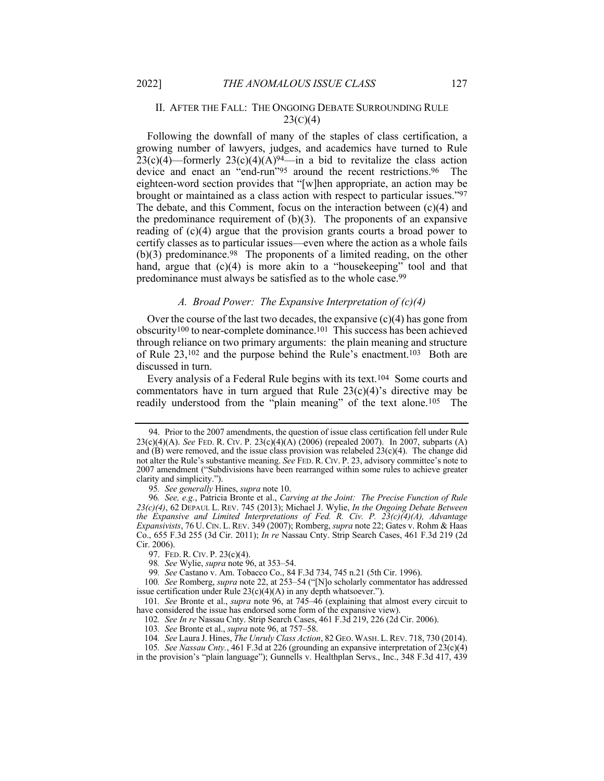# II. AFTER THE FALL: THE ONGOING DEBATE SURROUNDING RULE  $23(c)(4)$

Following the downfall of many of the staples of class certification, a growing number of lawyers, judges, and academics have turned to Rule  $23(c)(4)$ —formerly  $23(c)(4)(A)^{94}$ —in a bid to revitalize the class action device and enact an "end-run"<sup>95</sup> around the recent restrictions.<sup>96</sup> The eighteen-word section provides that "[w]hen appropriate, an action may be brought or maintained as a class action with respect to particular issues."97 The debate, and this Comment, focus on the interaction between (c)(4) and the predominance requirement of  $(b)(3)$ . The proponents of an expansive reading of (c)(4) argue that the provision grants courts a broad power to certify classes as to particular issues—even where the action as a whole fails  $(b)(3)$  predominance.<sup>98</sup> The proponents of a limited reading, on the other hand, argue that  $(c)(4)$  is more akin to a "housekeeping" tool and that predominance must always be satisfied as to the whole case.99

## *A. Broad Power: The Expansive Interpretation of (c)(4)*

Over the course of the last two decades, the expansive  $(c)(4)$  has gone from obscurity100 to near-complete dominance.101 This success has been achieved through reliance on two primary arguments: the plain meaning and structure of Rule 23,102 and the purpose behind the Rule's enactment.103 Both are discussed in turn.

Every analysis of a Federal Rule begins with its text.104 Some courts and commentators have in turn argued that Rule  $23(c)(4)$ 's directive may be readily understood from the "plain meaning" of the text alone.105 The

<sup>94.</sup> Prior to the 2007 amendments, the question of issue class certification fell under Rule 23(c)(4)(A). *See* FED. R. CIV. P. 23(c)(4)(A) (2006) (repealed 2007). In 2007, subparts (A) and  $(B)$  were removed, and the issue class provision was relabeled  $23(c)(4)$ . The change did not alter the Rule's substantive meaning. *See* FED. R. CIV. P. 23, advisory committee's note to 2007 amendment ("Subdivisions have been rearranged within some rules to achieve greater clarity and simplicity.").

<sup>95</sup>*. See generally* Hines, *supra* note 10.

<sup>96</sup>*. See, e.g.*, Patricia Bronte et al., *Carving at the Joint: The Precise Function of Rule 23(c)(4)*, 62 DEPAUL L. REV. 745 (2013); Michael J. Wylie, *In the Ongoing Debate Between the Expansive and Limited Interpretations of Fed. R. Civ. P. 23(c)(4)(A), Advantage Expansivists*, 76 U. CIN. L. REV. 349 (2007); Romberg, *supra* note 22; Gates v. Rohm & Haas Co., 655 F.3d 255 (3d Cir. 2011); *In re* Nassau Cnty. Strip Search Cases, 461 F.3d 219 (2d Cir. 2006).

<sup>97.</sup> FED. R. CIV. P. 23(c)(4).

<sup>98</sup>*. See* Wylie, *supra* note 96, at 353–54.

<sup>99</sup>*. See* Castano v. Am. Tobacco Co., 84 F.3d 734, 745 n.21 (5th Cir. 1996).

<sup>100</sup>*. See* Romberg, *supra* note 22, at 253–54 ("[N]o scholarly commentator has addressed issue certification under Rule  $23(c)(4)(A)$  in any depth whatsoever.").

<sup>101</sup>*. See* Bronte et al., *supra* note 96, at 745–46 (explaining that almost every circuit to have considered the issue has endorsed some form of the expansive view).

<sup>102</sup>*. See In re* Nassau Cnty. Strip Search Cases, 461 F.3d 219, 226 (2d Cir. 2006).

<sup>103</sup>*. See* Bronte et al., *supra* note 96, at 757–58.

<sup>104</sup>*. See* Laura J. Hines, *The Unruly Class Action*, 82 GEO.WASH. L.REV. 718, 730 (2014).

<sup>105</sup>*. See Nassau Cnty.*, 461 F.3d at 226 (grounding an expansive interpretation of 23(c)(4) in the provision's "plain language"); Gunnells v. Healthplan Servs., Inc., 348 F.3d 417, 439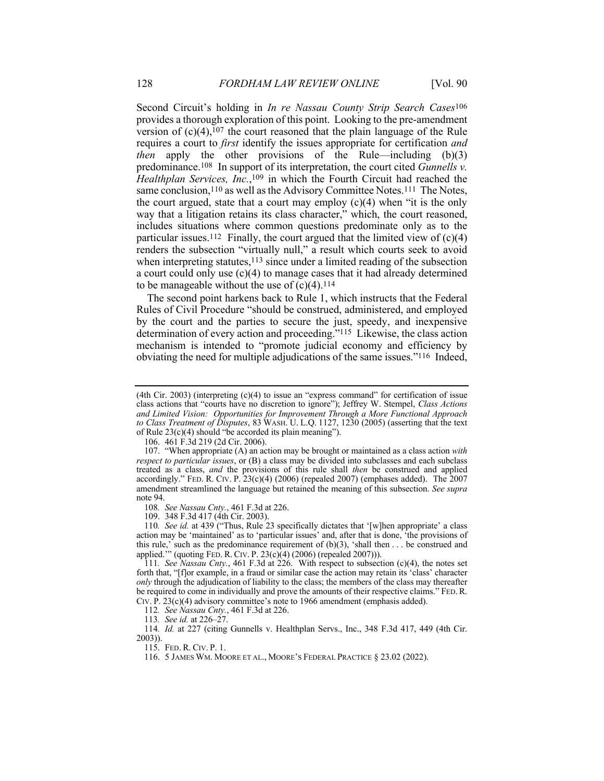Second Circuit's holding in *In re Nassau County Strip Search Cases*106 provides a thorough exploration of this point. Looking to the pre-amendment version of  $(c)(4)$ ,  $107$  the court reasoned that the plain language of the Rule requires a court to *first* identify the issues appropriate for certification *and then* apply the other provisions of the Rule—including (b)(3) predominance.108 In support of its interpretation, the court cited *Gunnells v. Healthplan Services, Inc.*,109 in which the Fourth Circuit had reached the same conclusion,<sup>110</sup> as well as the Advisory Committee Notes.<sup>111</sup> The Notes, the court argued, state that a court may employ  $(c)(4)$  when "it is the only way that a litigation retains its class character," which, the court reasoned, includes situations where common questions predominate only as to the particular issues.<sup>112</sup> Finally, the court argued that the limited view of  $(c)(4)$ renders the subsection "virtually null," a result which courts seek to avoid when interpreting statutes, $113$  since under a limited reading of the subsection a court could only use (c)(4) to manage cases that it had already determined to be manageable without the use of  $(c)(4)$ .<sup>114</sup>

The second point harkens back to Rule 1, which instructs that the Federal Rules of Civil Procedure "should be construed, administered, and employed by the court and the parties to secure the just, speedy, and inexpensive determination of every action and proceeding."115 Likewise, the class action mechanism is intended to "promote judicial economy and efficiency by obviating the need for multiple adjudications of the same issues."116 Indeed,

108*. See Nassau Cnty.*, 461 F.3d at 226.

109. 348 F.3d 417 (4th Cir. 2003).

110*. See id.* at 439 ("Thus, Rule 23 specifically dictates that '[w]hen appropriate' a class action may be 'maintained' as to 'particular issues' and, after that is done, 'the provisions of this rule,' such as the predominance requirement of  $(b)(3)$ , 'shall then  $\dots$  be construed and applied.'" (quoting FED. R. CIV. P. 23(c)(4) (2006) (repealed 2007))).

112*. See Nassau Cnty.*, 461 F.3d at 226.

113*. See id.* at 226–27.

114*. Id.* at 227 (citing Gunnells v. Healthplan Servs., Inc., 348 F.3d 417, 449 (4th Cir. 2003)).

115. FED. R. CIV. P. 1.

116. 5 JAMES WM. MOORE ET AL., MOORE'S FEDERAL PRACTICE § 23.02 (2022).

<sup>(4</sup>th Cir. 2003) (interpreting (c)(4) to issue an "express command" for certification of issue class actions that "courts have no discretion to ignore"); Jeffrey W. Stempel, *Class Actions and Limited Vision: Opportunities for Improvement Through a More Functional Approach to Class Treatment of Disputes*, 83 WASH. U. L.Q. 1127, 1230 (2005) (asserting that the text of Rule 23(c)(4) should "be accorded its plain meaning").

<sup>106.</sup> 461 F.3d 219 (2d Cir. 2006).

<sup>107.</sup> "When appropriate (A) an action may be brought or maintained as a class action *with respect to particular issues*, or (B) a class may be divided into subclasses and each subclass treated as a class, *and* the provisions of this rule shall *then* be construed and applied accordingly." FED. R. CIV. P.  $23(c)(4)$  (2006) (repealed 2007) (emphases added). The 2007 amendment streamlined the language but retained the meaning of this subsection. *See supra* note 94.

<sup>111</sup>*. See Nassau Cnty.*, 461 F.3d at 226. With respect to subsection (c)(4), the notes set forth that, "[f]or example, in a fraud or similar case the action may retain its 'class' character *only* through the adjudication of liability to the class; the members of the class may thereafter be required to come in individually and prove the amounts of their respective claims." FED. R. CIV. P. 23(c)(4) advisory committee's note to 1966 amendment (emphasis added).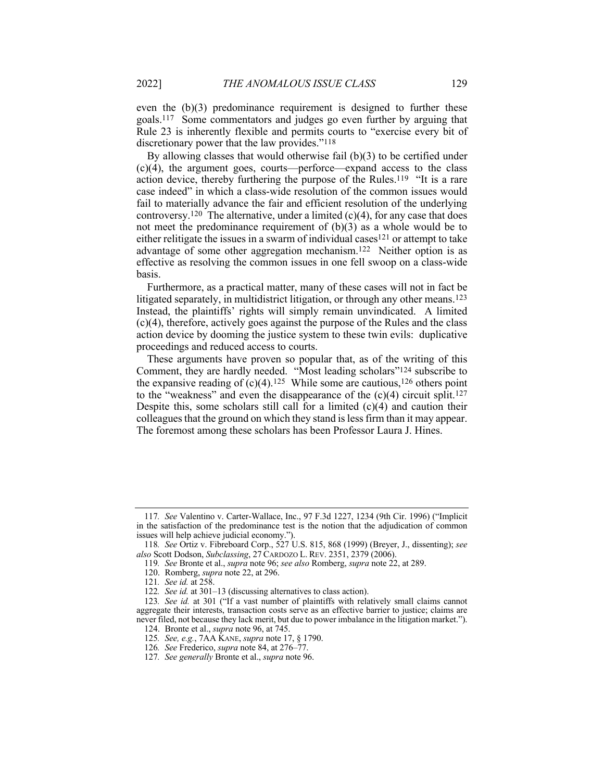even the (b)(3) predominance requirement is designed to further these goals.117 Some commentators and judges go even further by arguing that Rule 23 is inherently flexible and permits courts to "exercise every bit of discretionary power that the law provides."118

By allowing classes that would otherwise fail (b)(3) to be certified under (c)(4), the argument goes, courts—perforce—expand access to the class action device, thereby furthering the purpose of the Rules.119 "It is a rare case indeed" in which a class-wide resolution of the common issues would fail to materially advance the fair and efficient resolution of the underlying controversy.<sup>120</sup> The alternative, under a limited  $(c)(4)$ , for any case that does not meet the predominance requirement of  $(b)(3)$  as a whole would be to either relitigate the issues in a swarm of individual cases121 or attempt to take advantage of some other aggregation mechanism.122 Neither option is as effective as resolving the common issues in one fell swoop on a class-wide basis.

Furthermore, as a practical matter, many of these cases will not in fact be litigated separately, in multidistrict litigation, or through any other means.123 Instead, the plaintiffs' rights will simply remain unvindicated. A limited (c)(4), therefore, actively goes against the purpose of the Rules and the class action device by dooming the justice system to these twin evils: duplicative proceedings and reduced access to courts.

These arguments have proven so popular that, as of the writing of this Comment, they are hardly needed. "Most leading scholars"124 subscribe to the expansive reading of  $(c)(4)$ .<sup>125</sup> While some are cautious,<sup>126</sup> others point to the "weakness" and even the disappearance of the  $(c)(4)$  circuit split.<sup>127</sup> Despite this, some scholars still call for a limited  $(c)(4)$  and caution their colleagues that the ground on which they stand is less firm than it may appear. The foremost among these scholars has been Professor Laura J. Hines.

<sup>117</sup>*. See* Valentino v. Carter-Wallace, Inc., 97 F.3d 1227, 1234 (9th Cir. 1996) ("Implicit in the satisfaction of the predominance test is the notion that the adjudication of common issues will help achieve judicial economy.

<sup>118</sup>*. See* Ortiz v. Fibreboard Corp., 527 U.S. 815, 868 (1999) (Breyer, J., dissenting); *see also* Scott Dodson, *Subclassing*, 27 CARDOZO L. REV. 2351, 2379 (2006).

<sup>119</sup>*. See* Bronte et al., *supra* note 96; *see also* Romberg, *supra* note 22, at 289.

<sup>120.</sup> Romberg, *supra* note 22, at 296.

<sup>121</sup>*. See id.* at 258.

<sup>122</sup>*. See id.* at 301–13 (discussing alternatives to class action).

<sup>123</sup>*. See id.* at 301 ("If a vast number of plaintiffs with relatively small claims cannot aggregate their interests, transaction costs serve as an effective barrier to justice; claims are never filed, not because they lack merit, but due to power imbalance in the litigation market.").

<sup>124.</sup> Bronte et al., *supra* note 96, at 745. 125*. See, e.g.*, 7AA KANE, *supra* note 17, § 1790.

<sup>126</sup>*. See* Frederico, *supra* note 84, at 276–77.

<sup>127</sup>*. See generally* Bronte et al., *supra* note 96.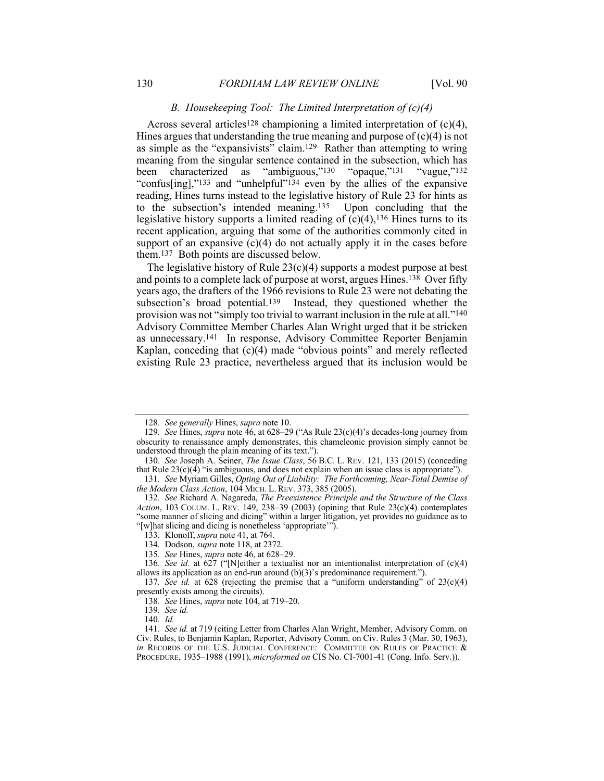## *B. Housekeeping Tool: The Limited Interpretation of (c)(4)*

Across several articles<sup>128</sup> championing a limited interpretation of  $(c)(4)$ , Hines argues that understanding the true meaning and purpose of  $(c)(4)$  is not as simple as the "expansivists" claim.129 Rather than attempting to wring meaning from the singular sentence contained in the subsection, which has been characterized as "ambiguous,"130 "opaque,"131 "vague,"132 "confus[ing],"<sup>133</sup> and "unhelpful"<sup>134</sup> even by the allies of the expansive reading, Hines turns instead to the legislative history of Rule 23 for hints as to the subsection's intended meaning.135 Upon concluding that the legislative history supports a limited reading of  $(c)(4)$ , 136 Hines turns to its recent application, arguing that some of the authorities commonly cited in support of an expansive  $(c)(4)$  do not actually apply it in the cases before them.137 Both points are discussed below.

The legislative history of Rule  $23(c)(4)$  supports a modest purpose at best and points to a complete lack of purpose at worst, argues Hines.138 Over fifty years ago, the drafters of the 1966 revisions to Rule 23 were not debating the subsection's broad potential.<sup>139</sup> Instead, they questioned whether the provision was not "simply too trivial to warrant inclusion in the rule at all."140 Advisory Committee Member Charles Alan Wright urged that it be stricken as unnecessary.141 In response, Advisory Committee Reporter Benjamin Kaplan, conceding that (c)(4) made "obvious points" and merely reflected existing Rule 23 practice, nevertheless argued that its inclusion would be

<sup>128</sup>*. See generally* Hines, *supra* note 10.

<sup>129</sup>*. See* Hines, *supra* note 46, at 628–29 ("As Rule 23(c)(4)'s decades-long journey from obscurity to renaissance amply demonstrates, this chameleonic provision simply cannot be understood through the plain meaning of its text.").

<sup>130</sup>*. See* Joseph A. Seiner, *The Issue Class*, 56 B.C. L. REV. 121, 133 (2015) (conceding that Rule  $23(c)(4)$  "is ambiguous, and does not explain when an issue class is appropriate").

<sup>131</sup>*. See* Myriam Gilles, *Opting Out of Liability: The Forthcoming, Near-Total Demise of the Modern Class Action*, 104 MICH. L. REV. 373, 385 (2005).

<sup>132</sup>*. See* Richard A. Nagareda, *The Preexistence Principle and the Structure of the Class Action*, 103 COLUM. L. REV. 149, 238–39 (2003) (opining that Rule 23(c)(4) contemplates "some manner of slicing and dicing" within a larger litigation, yet provides no guidance as to "[w]hat slicing and dicing is nonetheless 'appropriate'").

<sup>133.</sup> Klonoff, *supra* note 41, at 764.

<sup>134.</sup> Dodson, *supra* note 118, at 2372.

<sup>135</sup>*. See* Hines, *supra* note 46, at 628–29.

<sup>136</sup>*. See id.* at 627 ("[N]either a textualist nor an intentionalist interpretation of (c)(4) allows its application as an end-run around (b)(3)'s predominance requirement.").

<sup>137</sup>*. See id.* at 628 (rejecting the premise that a "uniform understanding" of 23(c)(4) presently exists among the circuits).

<sup>138</sup>*. See* Hines, *supra* note 104, at 719–20.

<sup>139</sup>*. See id.*

<sup>140</sup>*. Id.*

<sup>141</sup>*. See id.* at 719 (citing Letter from Charles Alan Wright, Member, Advisory Comm. on Civ. Rules, to Benjamin Kaplan, Reporter, Advisory Comm. on Civ. Rules 3 (Mar. 30, 1963), *in* RECORDS OF THE U.S. JUDICIAL CONFERENCE: COMMITTEE ON RULES OF PRACTICE & PROCEDURE, 1935–1988 (1991), *microformed on* CIS No. CI-7001-41 (Cong. Info. Serv.)).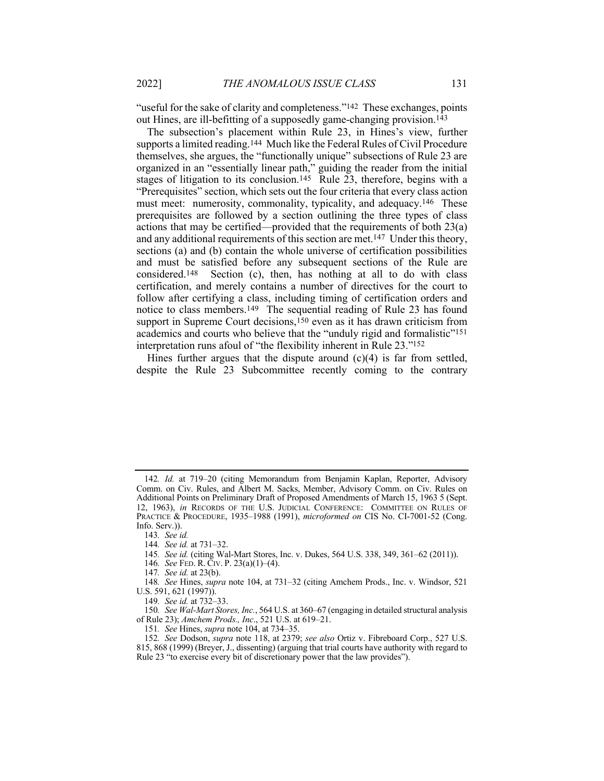"useful for the sake of clarity and completeness."<sup>142</sup> These exchanges, points out Hines, are ill-befitting of a supposedly game-changing provision.<sup>143</sup>

The subsection's placement within Rule 23, in Hines's view, further supports a limited reading.144 Much like the Federal Rules of Civil Procedure themselves, she argues, the "functionally unique" subsections of Rule 23 are organized in an "essentially linear path," guiding the reader from the initial stages of litigation to its conclusion.<sup>145</sup> Rule 23, therefore, begins with a "Prerequisites" section, which sets out the four criteria that every class action must meet: numerosity, commonality, typicality, and adequacy.146 These prerequisites are followed by a section outlining the three types of class actions that may be certified—provided that the requirements of both 23(a) and any additional requirements of this section are met.147 Under this theory, sections (a) and (b) contain the whole universe of certification possibilities and must be satisfied before any subsequent sections of the Rule are considered.148 Section (c), then, has nothing at all to do with class certification, and merely contains a number of directives for the court to follow after certifying a class, including timing of certification orders and notice to class members.149 The sequential reading of Rule 23 has found support in Supreme Court decisions,<sup>150</sup> even as it has drawn criticism from academics and courts who believe that the "unduly rigid and formalistic"151 interpretation runs afoul of "the flexibility inherent in Rule 23."152

Hines further argues that the dispute around  $(c)(4)$  is far from settled, despite the Rule 23 Subcommittee recently coming to the contrary

<sup>142</sup>*. Id.* at 719–20 (citing Memorandum from Benjamin Kaplan, Reporter, Advisory Comm. on Civ. Rules, and Albert M. Sacks, Member, Advisory Comm. on Civ. Rules on Additional Points on Preliminary Draft of Proposed Amendments of March 15, 1963 5 (Sept. 12, 1963), *in* RECORDS OF THE U.S. JUDICIAL CONFERENCE: COMMITTEE ON RULES OF PRACTICE & PROCEDURE, 1935–1988 (1991), *microformed on* CIS No. CI-7001-52 (Cong. Info. Serv.)).

<sup>143</sup>*. See id.*

<sup>144</sup>*. See id.* at 731–32.

<sup>145</sup>*. See id.* (citing Wal-Mart Stores, Inc. v. Dukes, 564 U.S. 338, 349, 361–62 (2011)).

<sup>146</sup>*. See* FED. R. CIV. P. 23(a)(1)–(4).

<sup>147</sup>*. See id.* at 23(b).

<sup>148</sup>*. See* Hines, *supra* note 104, at 731–32 (citing Amchem Prods., Inc. v. Windsor, 521 U.S. 591, 621 (1997)).

<sup>149</sup>*. See id.* at 732–33.

<sup>150</sup>*. See Wal-Mart Stores, Inc.*, 564 U.S. at 360–67 (engaging in detailed structural analysis of Rule 23); *Amchem Prods., Inc*., 521 U.S. at 619–21.

<sup>151</sup>*. See* Hines, *supra* note 104, at 734–35.

<sup>152</sup>*. See* Dodson, *supra* note 118, at 2379; *see also* Ortiz v. Fibreboard Corp., 527 U.S. 815, 868 (1999) (Breyer, J., dissenting) (arguing that trial courts have authority with regard to Rule 23 "to exercise every bit of discretionary power that the law provides").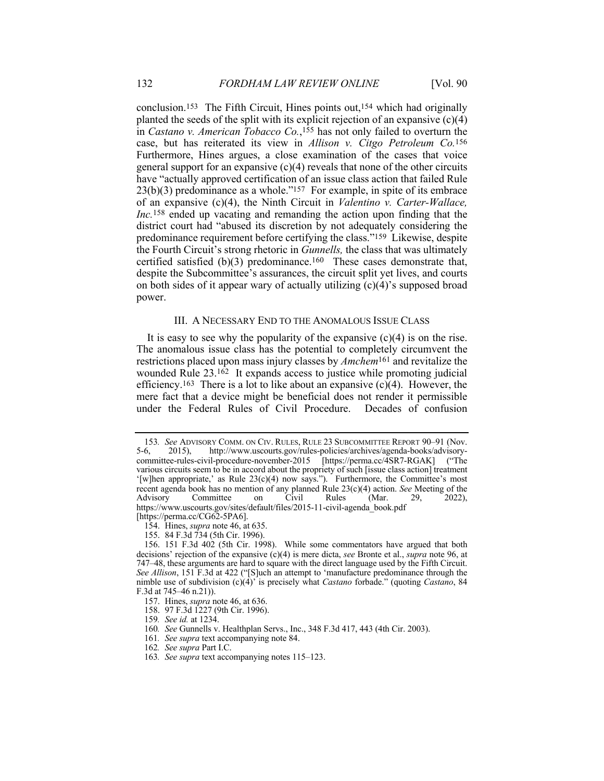conclusion.153 The Fifth Circuit, Hines points out,154 which had originally planted the seeds of the split with its explicit rejection of an expansive  $(c)(4)$ in *Castano v. American Tobacco Co.*,155 has not only failed to overturn the case, but has reiterated its view in *Allison v. Citgo Petroleum Co.*156 Furthermore, Hines argues, a close examination of the cases that voice general support for an expansive  $(c)(4)$  reveals that none of the other circuits have "actually approved certification of an issue class action that failed Rule  $23(b)(3)$  predominance as a whole."<sup>157</sup> For example, in spite of its embrace of an expansive (c)(4), the Ninth Circuit in *Valentino v. Carter-Wallace, Inc.*158 ended up vacating and remanding the action upon finding that the district court had "abused its discretion by not adequately considering the predominance requirement before certifying the class."159 Likewise, despite the Fourth Circuit's strong rhetoric in *Gunnells,* the class that was ultimately certified satisfied  $(b)(3)$  predominance.<sup>160</sup> These cases demonstrate that, despite the Subcommittee's assurances, the circuit split yet lives, and courts on both sides of it appear wary of actually utilizing (c)(4)'s supposed broad power.

## III. A NECESSARY END TO THE ANOMALOUS ISSUE CLASS

It is easy to see why the popularity of the expansive  $(c)(4)$  is on the rise. The anomalous issue class has the potential to completely circumvent the restrictions placed upon mass injury classes by *Amchem*161 and revitalize the wounded Rule 23.162 It expands access to justice while promoting judicial efficiency.<sup>163</sup> There is a lot to like about an expansive  $(c)(4)$ . However, the mere fact that a device might be beneficial does not render it permissible under the Federal Rules of Civil Procedure. Decades of confusion

<sup>153</sup>*. See* ADVISORY COMM. ON CIV. RULES, RULE 23 SUBCOMMITTEE REPORT 90–91 (Nov. 5-6, 2015), http://www.uscourts.gov/rules-policies/archives/agenda-books/advisorycommittee-rules-civil-procedure-november-2015 [https://perma.cc/4SR7-RGAK] ("The various circuits seem to be in accord about the propriety of such [issue class action] treatment '[w]hen appropriate,' as Rule 23(c)(4) now says."). Furthermore, the Committee's most recent agenda book has no mention of any planned Rule 23(c)(4) action. *See* Meeting of the Advisory Committee on Civil Rules (Mar. 29, 2022), Advisory Committee on Civil Rules (Mar. 29, 2022), https://www.uscourts.gov/sites/default/files/2015-11-civil-agenda\_book.pdf [https://perma.cc/CG62-5PA6].

<sup>154.</sup> Hines, *supra* note 46, at 635.

<sup>155.</sup> 84 F.3d 734 (5th Cir. 1996).

<sup>156.</sup> 151 F.3d 402 (5th Cir. 1998). While some commentators have argued that both decisions' rejection of the expansive (c)(4) is mere dicta, *see* Bronte et al., *supra* note 96, at 747–48, these arguments are hard to square with the direct language used by the Fifth Circuit. *See Allison*, 151 F.3d at 422 ("[S]uch an attempt to 'manufacture predominance through the nimble use of subdivision (c)(4)' is precisely what *Castano* forbade." (quoting *Castano*, 84 F.3d at 745–46 n.21)).

<sup>157.</sup> Hines, *supra* note 46, at 636.

<sup>158.</sup> 97 F.3d 1227 (9th Cir. 1996).

<sup>159</sup>*. See id.* at 1234.

<sup>160</sup>*. See* Gunnells v. Healthplan Servs., Inc., 348 F.3d 417, 443 (4th Cir. 2003).

<sup>161</sup>*. See supra* text accompanying note 84.

<sup>162</sup>*. See supra* Part I.C.

<sup>163</sup>*. See supra* text accompanying notes 115–123.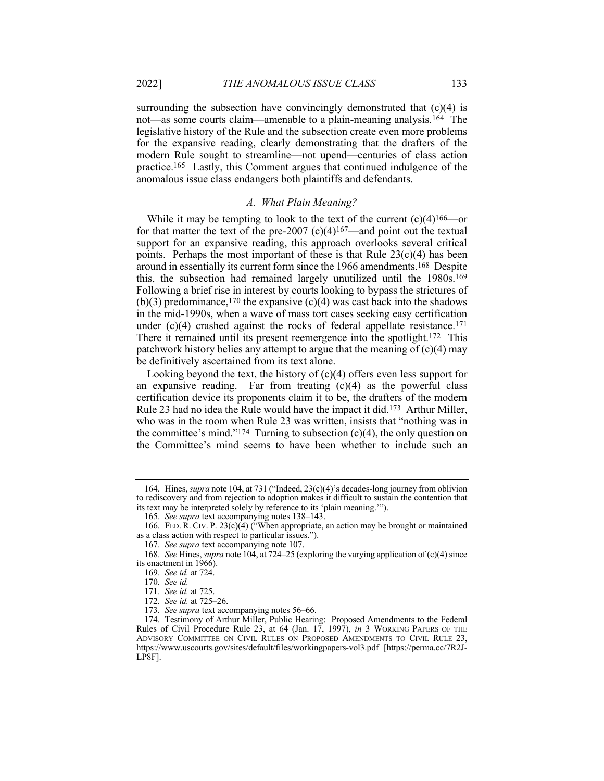surrounding the subsection have convincingly demonstrated that  $(c)(4)$  is not—as some courts claim—amenable to a plain-meaning analysis.<sup>164</sup> The legislative history of the Rule and the subsection create even more problems for the expansive reading, clearly demonstrating that the drafters of the modern Rule sought to streamline—not upend—centuries of class action practice.165 Lastly, this Comment argues that continued indulgence of the anomalous issue class endangers both plaintiffs and defendants.

## *A. What Plain Meaning?*

While it may be tempting to look to the text of the current  $(c)(4)^{166}$ —or for that matter the text of the pre-2007 (c)(4)<sup>167</sup>—and point out the textual support for an expansive reading, this approach overlooks several critical points. Perhaps the most important of these is that Rule  $23(c)(4)$  has been around in essentially its current form since the 1966 amendments.168 Despite this, the subsection had remained largely unutilized until the 1980s.169 Following a brief rise in interest by courts looking to bypass the strictures of (b)(3) predominance,<sup>170</sup> the expansive (c)(4) was cast back into the shadows in the mid-1990s, when a wave of mass tort cases seeking easy certification under  $(c)(4)$  crashed against the rocks of federal appellate resistance.<sup>171</sup> There it remained until its present reemergence into the spotlight.<sup>172</sup> This patchwork history belies any attempt to argue that the meaning of  $(c)(4)$  may be definitively ascertained from its text alone.

Looking beyond the text, the history of  $(c)(4)$  offers even less support for an expansive reading. Far from treating  $(c)(4)$  as the powerful class certification device its proponents claim it to be, the drafters of the modern Rule 23 had no idea the Rule would have the impact it did.<sup>173</sup> Arthur Miller, who was in the room when Rule 23 was written, insists that "nothing was in the committee's mind."<sup>174</sup> Turning to subsection  $(c)(4)$ , the only question on the Committee's mind seems to have been whether to include such an

<sup>164.</sup> Hines, *supra* note 104, at 731 ("Indeed, 23(c)(4)'s decades-long journey from oblivion to rediscovery and from rejection to adoption makes it difficult to sustain the contention that its text may be interpreted solely by reference to its 'plain meaning.'").

<sup>165</sup>*. See supra* text accompanying notes 138–143.

<sup>166.</sup> FED. R. CIV. P. 23(c)(4) ("When appropriate, an action may be brought or maintained as a class action with respect to particular issues.").

<sup>167</sup>*. See supra* text accompanying note 107.

<sup>168</sup>*. See* Hines, *supra* note 104, at 724–25 (exploring the varying application of (c)(4) since its enactment in 1966).

<sup>169</sup>*. See id.* at 724.

<sup>170</sup>*. See id.*

<sup>171</sup>*. See id.* at 725.

<sup>172</sup>*. See id.* at 725–26.

<sup>173</sup>*. See supra* text accompanying notes 56–66.

<sup>174.</sup> Testimony of Arthur Miller, Public Hearing: Proposed Amendments to the Federal Rules of Civil Procedure Rule 23, at 64 (Jan. 17, 1997), *in* 3 WORKING PAPERS OF THE ADVISORY COMMITTEE ON CIVIL RULES ON PROPOSED AMENDMENTS TO CIVIL RULE 23, https://www.uscourts.gov/sites/default/files/workingpapers-vol3.pdf [https://perma.cc/7R2J-LP8F].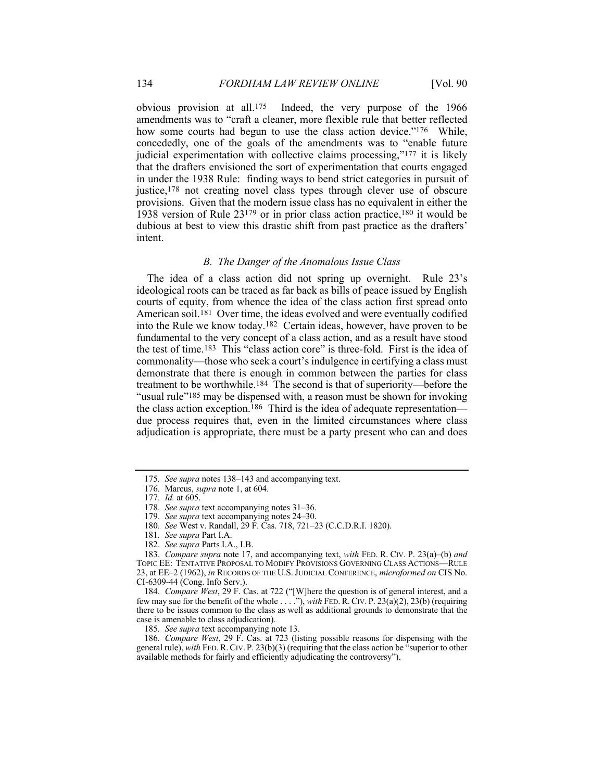obvious provision at all.175 Indeed, the very purpose of the 1966 amendments was to "craft a cleaner, more flexible rule that better reflected how some courts had begun to use the class action device."<sup>176</sup> While, concededly, one of the goals of the amendments was to "enable future judicial experimentation with collective claims processing,"177 it is likely that the drafters envisioned the sort of experimentation that courts engaged in under the 1938 Rule: finding ways to bend strict categories in pursuit of justice,<sup>178</sup> not creating novel class types through clever use of obscure provisions. Given that the modern issue class has no equivalent in either the 1938 version of Rule 23179 or in prior class action practice,180 it would be dubious at best to view this drastic shift from past practice as the drafters' intent.

# *B. The Danger of the Anomalous Issue Class*

The idea of a class action did not spring up overnight. Rule 23's ideological roots can be traced as far back as bills of peace issued by English courts of equity, from whence the idea of the class action first spread onto American soil.<sup>181</sup> Over time, the ideas evolved and were eventually codified into the Rule we know today.182 Certain ideas, however, have proven to be fundamental to the very concept of a class action, and as a result have stood the test of time.183 This "class action core" is three-fold. First is the idea of commonality—those who seek a court's indulgence in certifying a class must demonstrate that there is enough in common between the parties for class treatment to be worthwhile.184 The second is that of superiority—before the "usual rule"<sup>185</sup> may be dispensed with, a reason must be shown for invoking the class action exception.186 Third is the idea of adequate representation due process requires that, even in the limited circumstances where class adjudication is appropriate, there must be a party present who can and does

185*. See supra* text accompanying note 13.

186*. Compare West*, 29 F. Cas. at 723 (listing possible reasons for dispensing with the general rule), *with* FED.R.CIV. P. 23(b)(3) (requiring that the class action be "superior to other available methods for fairly and efficiently adjudicating the controversy").

<sup>175</sup>*. See supra* notes 138–143 and accompanying text.

<sup>176.</sup> Marcus, *supra* note 1, at 604.

<sup>177</sup>*. Id.* at 605.

<sup>178</sup>*. See supra* text accompanying notes 31–36.

<sup>179</sup>*. See supra* text accompanying notes 24–30.

<sup>180</sup>*. See* West v. Randall, 29 F. Cas. 718, 721–23 (C.C.D.R.I. 1820).

<sup>181</sup>*. See supra* Part I.A.

<sup>182</sup>*. See supra* Parts I.A., I.B.

<sup>183</sup>*. Compare supra* note 17, and accompanying text, *with* FED. R. CIV. P. 23(a)–(b) *and* TOPIC EE: TENTATIVE PROPOSAL TO MODIFY PROVISIONS GOVERNING CLASS ACTIONS—RULE 23, at EE–2 (1962), *in* RECORDS OF THE U.S.JUDICIAL CONFERENCE, *microformed on* CIS No. CI-6309-44 (Cong. Info Serv.).

<sup>184</sup>*. Compare West*, 29 F. Cas. at 722 ("[W]here the question is of general interest, and a few may sue for the benefit of the whole . . . ."), *with* FED.R.CIV. P. 23(a)(2), 23(b) (requiring there to be issues common to the class as well as additional grounds to demonstrate that the case is amenable to class adjudication).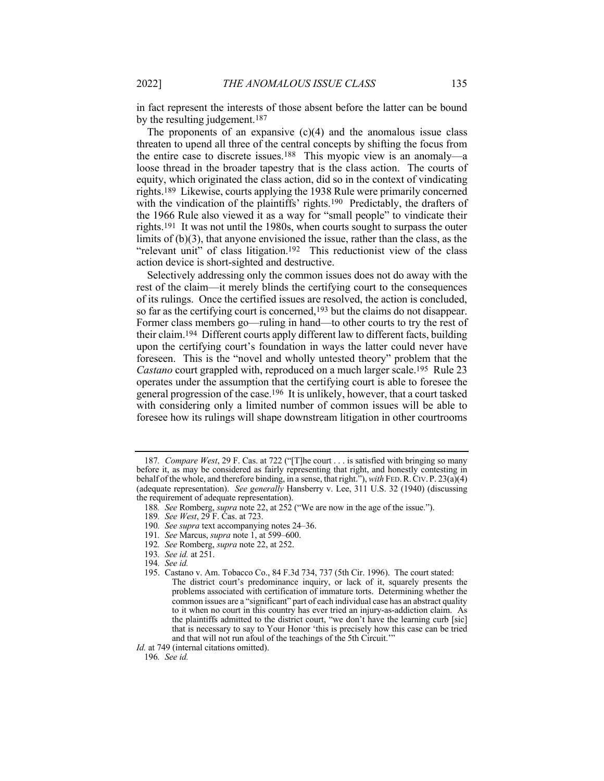in fact represent the interests of those absent before the latter can be bound by the resulting judgement.187

The proponents of an expansive  $(c)(4)$  and the anomalous issue class threaten to upend all three of the central concepts by shifting the focus from the entire case to discrete issues.188 This myopic view is an anomaly—a loose thread in the broader tapestry that is the class action. The courts of equity, which originated the class action, did so in the context of vindicating rights.189 Likewise, courts applying the 1938 Rule were primarily concerned with the vindication of the plaintiffs' rights.<sup>190</sup> Predictably, the drafters of the 1966 Rule also viewed it as a way for "small people" to vindicate their rights.191 It was not until the 1980s, when courts sought to surpass the outer limits of (b)(3), that anyone envisioned the issue, rather than the class, as the "relevant unit" of class litigation.<sup>192</sup> This reductionist view of the class action device is short-sighted and destructive.

Selectively addressing only the common issues does not do away with the rest of the claim—it merely blinds the certifying court to the consequences of its rulings. Once the certified issues are resolved, the action is concluded, so far as the certifying court is concerned,193 but the claims do not disappear. Former class members go—ruling in hand—to other courts to try the rest of their claim.194 Different courts apply different law to different facts, building upon the certifying court's foundation in ways the latter could never have foreseen. This is the "novel and wholly untested theory" problem that the *Castano* court grappled with, reproduced on a much larger scale.<sup>195</sup> Rule 23 operates under the assumption that the certifying court is able to foresee the general progression of the case.196 It is unlikely, however, that a court tasked with considering only a limited number of common issues will be able to foresee how its rulings will shape downstream litigation in other courtrooms

*Id.* at 749 (internal citations omitted).

196*. See id.*

<sup>187</sup>*. Compare West*, 29 F. Cas. at 722 ("[T]he court . . . is satisfied with bringing so many before it, as may be considered as fairly representing that right, and honestly contesting in behalf of the whole, and therefore binding, in a sense, that right."), *with* FED.R.CIV. P. 23(a)(4) (adequate representation). *See generally* Hansberry v. Lee, 311 U.S. 32 (1940) (discussing the requirement of adequate representation).

<sup>188</sup>*. See* Romberg, *supra* note 22, at 252 ("We are now in the age of the issue.").

<sup>189</sup>*. See West*, 29 F. Cas. at 723.

<sup>190</sup>*. See supra* text accompanying notes 24–36.

<sup>191</sup>*. See* Marcus, *supra* note 1, at 599–600.

<sup>192</sup>*. See* Romberg, *supra* note 22, at 252.

<sup>193</sup>*. See id.* at 251.

<sup>194</sup>*. See id.*

<sup>195.</sup> Castano v. Am. Tobacco Co., 84 F.3d 734, 737 (5th Cir. 1996). The court stated: The district court's predominance inquiry, or lack of it, squarely presents the problems associated with certification of immature torts. Determining whether the common issues are a "significant" part of each individual case has an abstract quality to it when no court in this country has ever tried an injury-as-addiction claim. As the plaintiffs admitted to the district court, "we don't have the learning curb [sic] that is necessary to say to Your Honor 'this is precisely how this case can be tried and that will not run afoul of the teachings of the 5th Circuit.'"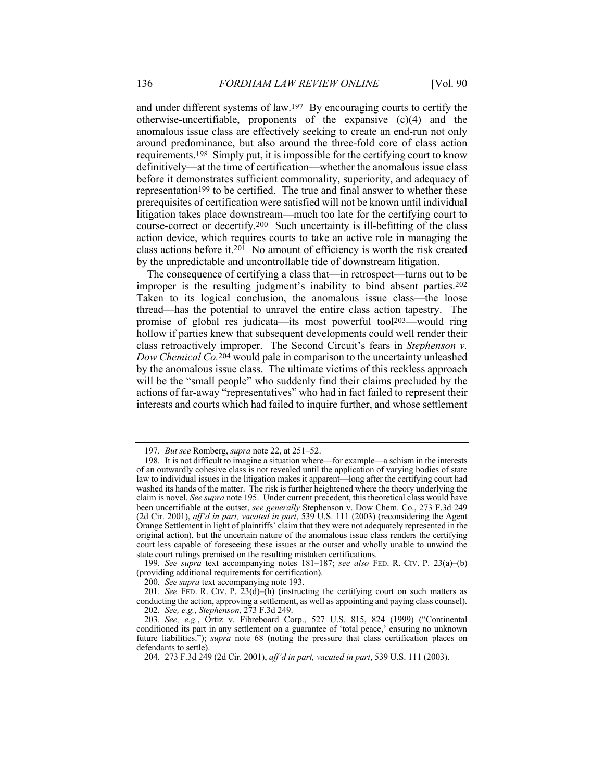and under different systems of law.197 By encouraging courts to certify the otherwise-uncertifiable, proponents of the expansive (c)(4) and the anomalous issue class are effectively seeking to create an end-run not only around predominance, but also around the three-fold core of class action requirements.198 Simply put, it is impossible for the certifying court to know definitively—at the time of certification—whether the anomalous issue class before it demonstrates sufficient commonality, superiority, and adequacy of representation<sup>199</sup> to be certified. The true and final answer to whether these prerequisites of certification were satisfied will not be known until individual litigation takes place downstream—much too late for the certifying court to course-correct or decertify.200 Such uncertainty is ill-befitting of the class action device, which requires courts to take an active role in managing the class actions before it.<sup>201</sup> No amount of efficiency is worth the risk created by the unpredictable and uncontrollable tide of downstream litigation.

The consequence of certifying a class that—in retrospect—turns out to be improper is the resulting judgment's inability to bind absent parties.<sup>202</sup> Taken to its logical conclusion, the anomalous issue class—the loose thread—has the potential to unravel the entire class action tapestry. The promise of global res judicata—its most powerful tool203—would ring hollow if parties knew that subsequent developments could well render their class retroactively improper. The Second Circuit's fears in *Stephenson v. Dow Chemical Co.*204 would pale in comparison to the uncertainty unleashed by the anomalous issue class. The ultimate victims of this reckless approach will be the "small people" who suddenly find their claims precluded by the actions of far-away "representatives" who had in fact failed to represent their interests and courts which had failed to inquire further, and whose settlement

199*. See supra* text accompanying notes 181–187; *see also* FED. R. CIV. P. 23(a)–(b) (providing additional requirements for certification).

<sup>197</sup>*. But see* Romberg, *supra* note 22, at 251–52.

<sup>198.</sup> It is not difficult to imagine a situation where—for example—a schism in the interests of an outwardly cohesive class is not revealed until the application of varying bodies of state law to individual issues in the litigation makes it apparent—long after the certifying court had washed its hands of the matter. The risk is further heightened where the theory underlying the claim is novel. *See supra* note 195. Under current precedent, this theoretical class would have been uncertifiable at the outset, *see generally* Stephenson v. Dow Chem. Co., 273 F.3d 249 (2d Cir. 2001), *aff'd in part, vacated in part*, 539 U.S. 111 (2003) (reconsidering the Agent Orange Settlement in light of plaintiffs' claim that they were not adequately represented in the original action), but the uncertain nature of the anomalous issue class renders the certifying court less capable of foreseeing these issues at the outset and wholly unable to unwind the state court rulings premised on the resulting mistaken certifications.

<sup>200</sup>*. See supra* text accompanying note 193.

<sup>201.</sup> *See* FED. R. CIV. P.  $23(d)$ –(h) (instructing the certifying court on such matters as conducting the action, approving a settlement, as well as appointing and paying class counsel). 202*. See, e.g.*, *Stephenson*, 273 F.3d 249.

<sup>203</sup>*. See, e.g.*, Ortiz v. Fibreboard Corp., 527 U.S. 815, 824 (1999) ("Continental conditioned its part in any settlement on a guarantee of 'total peace,' ensuring no unknown future liabilities."); *supra* note 68 (noting the pressure that class certification places on defendants to settle).

<sup>204.</sup> 273 F.3d 249 (2d Cir. 2001), *aff'd in part, vacated in part*, 539 U.S. 111 (2003).